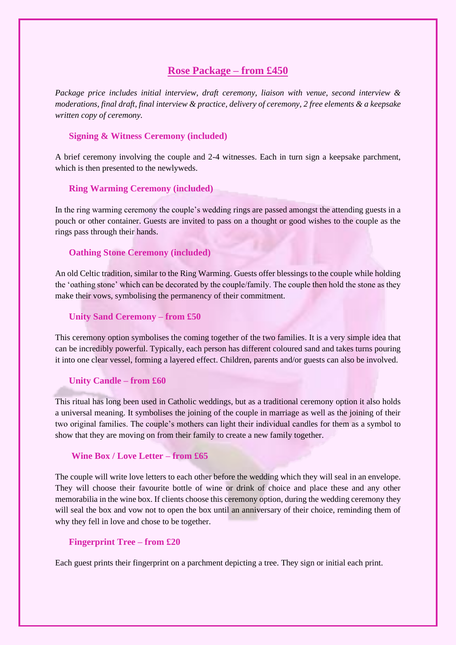# **Rose Package – from £450**

*Package price includes initial interview, draft ceremony, liaison with venue, second interview & moderations, final draft, final interview & practice, delivery of ceremony, 2 free elements & a keepsake written copy of ceremony.*

**Signing & Witness Ceremony (included)**

A brief ceremony involving the couple and 2-4 witnesses. Each in turn sign a keepsake parchment, which is then presented to the newlyweds.

**Ring Warming Ceremony (included)**

In the ring warming ceremony the couple's wedding rings are passed amongst the attending guests in a pouch or other container. Guests are invited to pass on a thought or good wishes to the couple as the rings pass through their hands.

## **Oathing Stone Ceremony (included)**

An old Celtic tradition, similar to the Ring Warming. Guests offer blessings to the couple while holding the 'oathing stone' which can be decorated by the couple/family. The couple then hold the stone as they make their vows, symbolising the permanency of their commitment.

**Unity Sand Ceremony – from £50**

This ceremony option symbolises the coming together of the two families. It is a very simple idea that can be incredibly powerful. Typically, each person has different coloured sand and takes turns pouring it into one clear vessel, forming a layered effect. Children, parents and/or guests can also be involved.

## **Unity Candle – from £60**

This ritual has long been used in Catholic weddings, but as a traditional ceremony option it also holds a universal meaning. It symbolises the joining of the couple in marriage as well as the joining of their two original families. The couple's mothers can light their individual candles for them as a symbol to show that they are moving on from their family to create a new family together.

#### **Wine Box / Love Letter – from £65**

The couple will write love letters to each other before the wedding which they will seal in an envelope. They will choose their favourite bottle of wine or drink of choice and place these and any other memorabilia in the wine box. If clients choose this ceremony option, during the wedding ceremony they will seal the box and vow not to open the box until an anniversary of their choice, reminding them of why they fell in love and chose to be together.

# **Fingerprint Tree – from £20**

Each guest prints their fingerprint on a parchment depicting a tree. They sign or initial each print.